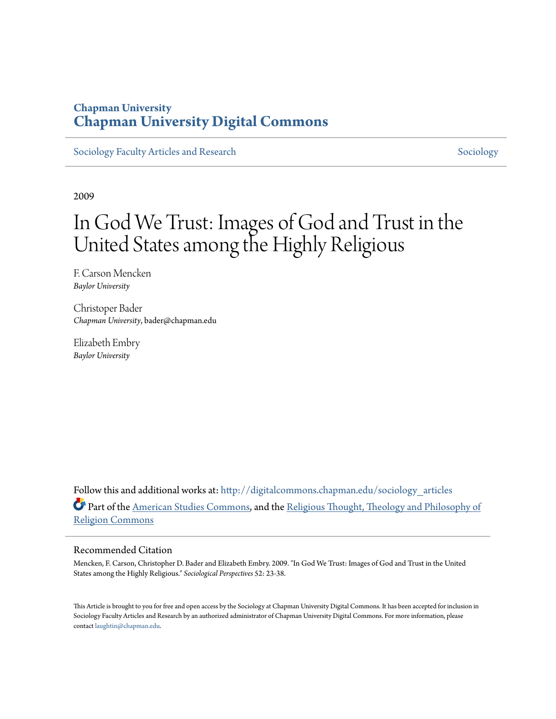## **Chapman University [Chapman University Digital Commons](http://digitalcommons.chapman.edu?utm_source=digitalcommons.chapman.edu%2Fsociology_articles%2F1&utm_medium=PDF&utm_campaign=PDFCoverPages)**

[Sociology Faculty Articles and Research](http://digitalcommons.chapman.edu/sociology_articles?utm_source=digitalcommons.chapman.edu%2Fsociology_articles%2F1&utm_medium=PDF&utm_campaign=PDFCoverPages) [Sociology](http://digitalcommons.chapman.edu/sociology?utm_source=digitalcommons.chapman.edu%2Fsociology_articles%2F1&utm_medium=PDF&utm_campaign=PDFCoverPages) Sociology Sociology

2009

# In God We Trust: Images of God and Trust in the United States among the Highly Religious

F. Carson Mencken *Baylor University*

Christoper Bader *Chapman University*, bader@chapman.edu

Elizabeth Embry *Baylor University*

Follow this and additional works at: [http://digitalcommons.chapman.edu/sociology\\_articles](http://digitalcommons.chapman.edu/sociology_articles?utm_source=digitalcommons.chapman.edu%2Fsociology_articles%2F1&utm_medium=PDF&utm_campaign=PDFCoverPages) Part of the [American Studies Commons](http://network.bepress.com/hgg/discipline/439?utm_source=digitalcommons.chapman.edu%2Fsociology_articles%2F1&utm_medium=PDF&utm_campaign=PDFCoverPages), and the [Religious Thought, Theology and Philosophy of](http://network.bepress.com/hgg/discipline/544?utm_source=digitalcommons.chapman.edu%2Fsociology_articles%2F1&utm_medium=PDF&utm_campaign=PDFCoverPages) [Religion Commons](http://network.bepress.com/hgg/discipline/544?utm_source=digitalcommons.chapman.edu%2Fsociology_articles%2F1&utm_medium=PDF&utm_campaign=PDFCoverPages)

### Recommended Citation

Mencken, F. Carson, Christopher D. Bader and Elizabeth Embry. 2009. "In God We Trust: Images of God and Trust in the United States among the Highly Religious." *Sociological Perspectives* 52: 23-38.

This Article is brought to you for free and open access by the Sociology at Chapman University Digital Commons. It has been accepted for inclusion in Sociology Faculty Articles and Research by an authorized administrator of Chapman University Digital Commons. For more information, please contact [laughtin@chapman.edu](mailto:laughtin@chapman.edu).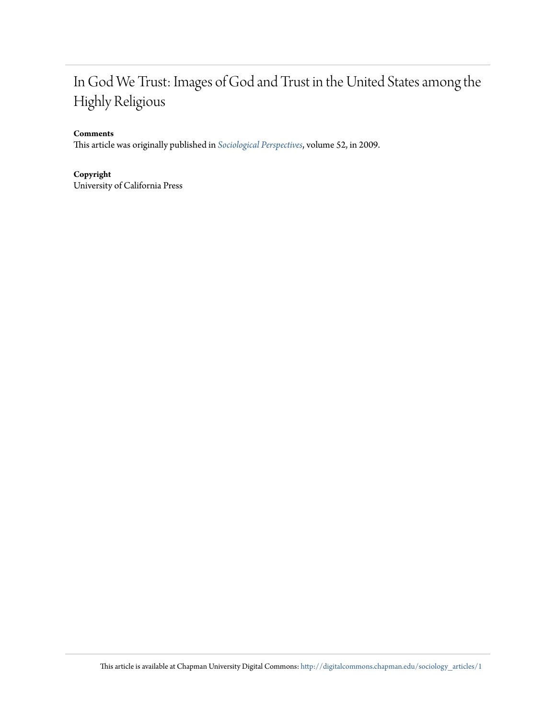## In God We Trust: Images of God and Trust in the United States among the Highly Religious

### **Comments**

This article was originally published in *[Sociological Perspectives](http://www.sagepub.com/journals/Journal202165)*, volume 52, in 2009.

## **Copyright**

University of California Press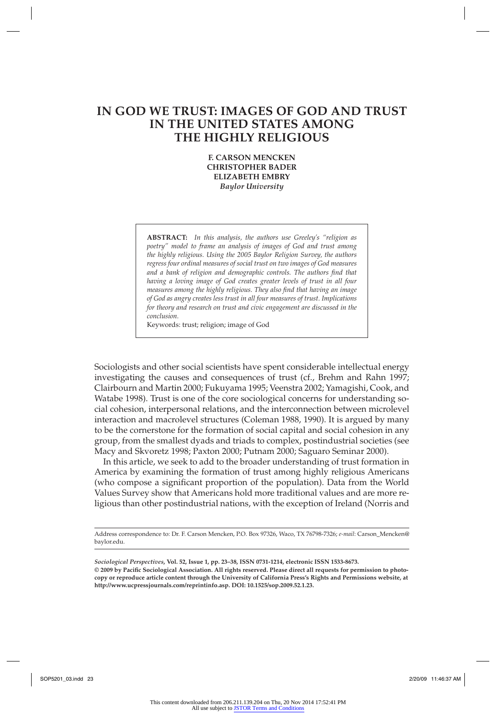## **In God We Trust: Images Of God AND TRUST IN THE UNITED STATES AMONG THE HIGHLY RELIGIOUS**

#### **F. CARSON MENCKEN CHRISTOPHER BADER ELIZABETH EMBRY** *Baylor University*

**ABSTRACT:** *In this analysis, the authors use Greeley's "religion as poetry" model to frame an analysis of images of God and trust among the highly religious. Using the 2005 Baylor Religion Survey, the authors regress four ordinal measures of social trust on two images of God measures and a bank of religion and demographic controls. The authors find that having a loving image of God creates greater levels of trust in all four measures among the highly religious. They also find that having an image of God as angry creates less trust in all four measures of trust. Implications for theory and research on trust and civic engagement are discussed in the conclusion.*

Keywords: trust; religion; image of God

Sociologists and other social scientists have spent considerable intellectual energy investigating the causes and consequences of trust (cf., Brehm and Rahn 1997; Clairbourn and Martin 2000; Fukuyama 1995; Veenstra 2002; Yamagishi, Cook, and Watabe 1998). Trust is one of the core sociological concerns for understanding social cohesion, interpersonal relations, and the interconnection between microlevel interaction and macrolevel structures (Coleman 1988, 1990). It is argued by many to be the cornerstone for the formation of social capital and social cohesion in any group, from the smallest dyads and triads to complex, postindustrial societies (see Macy and Skvoretz 1998; Paxton 2000; Putnam 2000; Saguaro Seminar 2000).

In this article, we seek to add to the broader understanding of trust formation in America by examining the formation of trust among highly religious Americans (who compose a significant proportion of the population). Data from the World Values Survey show that Americans hold more traditional values and are more religious than other postindustrial nations, with the exception of Ireland (Norris and

Address correspondence to: Dr. F. Carson Mencken, P.O. Box 97326, Waco, TX 76798-7326; *e-mail*: Carson\_Mencken@ baylor.edu.

*Sociological Perspectives***, Vol. 52, Issue 1, pp. 23–38, ISSN 0731-1214, electronic ISSN 1533-8673.**

**© 2009 by Pacific Sociological Association. All rights reserved. Please direct all requests for permission to photocopy or reproduce article content through the University of California Press's Rights and Permissions website, at http://www.ucpressjournals.com/reprintinfo.asp. DOI: 10.1525/sop.2009.52.1.23.**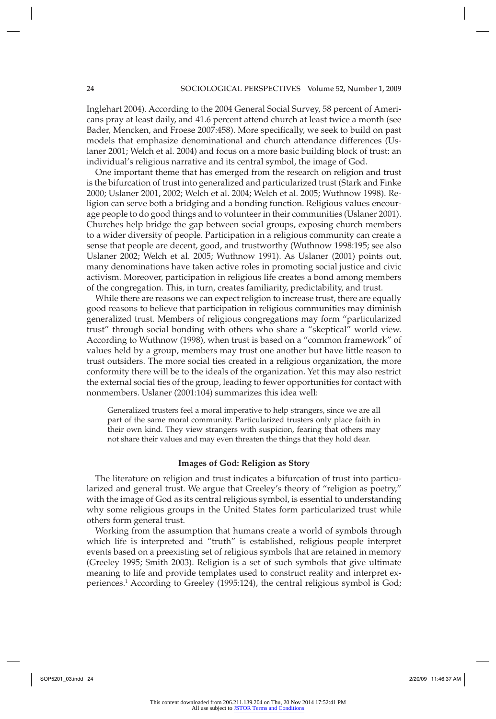Inglehart 2004). According to the 2004 General Social Survey, 58 percent of Americans pray at least daily, and 41.6 percent attend church at least twice a month (see Bader, Mencken, and Froese 2007:458). More specifically, we seek to build on past models that emphasize denominational and church attendance differences (Uslaner 2001; Welch et al. 2004) and focus on a more basic building block of trust: an individual's religious narrative and its central symbol, the image of God.

One important theme that has emerged from the research on religion and trust is the bifurcation of trust into generalized and particularized trust (Stark and Finke 2000; Uslaner 2001, 2002; Welch et al. 2004; Welch et al. 2005; Wuthnow 1998). Religion can serve both a bridging and a bonding function. Religious values encourage people to do good things and to volunteer in their communities (Uslaner 2001). Churches help bridge the gap between social groups, exposing church members to a wider diversity of people. Participation in a religious community can create a sense that people are decent, good, and trustworthy (Wuthnow 1998:195; see also Uslaner 2002; Welch et al. 2005; Wuthnow 1991). As Uslaner (2001) points out, many denominations have taken active roles in promoting social justice and civic activism. Moreover, participation in religious life creates a bond among members of the congregation. This, in turn, creates familiarity, predictability, and trust.

While there are reasons we can expect religion to increase trust, there are equally good reasons to believe that participation in religious communities may diminish generalized trust. Members of religious congregations may form "particularized trust" through social bonding with others who share a "skeptical" world view. According to Wuthnow (1998), when trust is based on a "common framework" of values held by a group, members may trust one another but have little reason to trust outsiders. The more social ties created in a religious organization, the more conformity there will be to the ideals of the organization. Yet this may also restrict the external social ties of the group, leading to fewer opportunities for contact with nonmembers. Uslaner (2001:104) summarizes this idea well:

Generalized trusters feel a moral imperative to help strangers, since we are all part of the same moral community. Particularized trusters only place faith in their own kind. They view strangers with suspicion, fearing that others may not share their values and may even threaten the things that they hold dear.

#### **Images of God: Religion as Story**

The literature on religion and trust indicates a bifurcation of trust into particularized and general trust. We argue that Greeley's theory of "religion as poetry," with the image of God as its central religious symbol, is essential to understanding why some religious groups in the United States form particularized trust while others form general trust.

Working from the assumption that humans create a world of symbols through which life is interpreted and "truth" is established, religious people interpret events based on a preexisting set of religious symbols that are retained in memory (Greeley 1995; Smith 2003). Religion is a set of such symbols that give ultimate meaning to life and provide templates used to construct reality and interpret experiences.<sup>1</sup> According to Greeley (1995:124), the central religious symbol is God;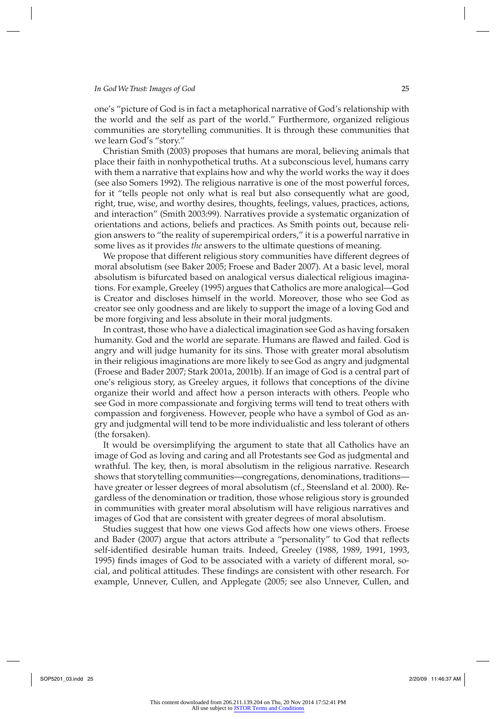one's "picture of God is in fact a metaphorical narrative of God's relationship with the world and the self as part of the world." Furthermore, organized religious communities are storytelling communities. It is through these communities that we learn God's "story."

Christian Smith (2003) proposes that humans are moral, believing animals that place their faith in nonhypothetical truths. At a subconscious level, humans carry with them a narrative that explains how and why the world works the way it does (see also Somers 1992). The religious narrative is one of the most powerful forces, for it "tells people not only what is real but also consequently what are good, right, true, wise, and worthy desires, thoughts, feelings, values, practices, actions, and interaction" (Smith 2003:99). Narratives provide a systematic organization of orientations and actions, beliefs and practices. As Smith points out, because religion answers to "the reality of superempirical orders," it is a powerful narrative in some lives as it provides *the* answers to the ultimate questions of meaning.

We propose that different religious story communities have different degrees of moral absolutism (see Baker 2005; Froese and Bader 2007). At a basic level, moral absolutism is bifurcated based on analogical versus dialectical religious imaginations. For example, Greeley (1995) argues that Catholics are more analogical—God is Creator and discloses himself in the world. Moreover, those who see God as creator see only goodness and are likely to support the image of a loving God and be more forgiving and less absolute in their moral judgments.

In contrast, those who have a dialectical imagination see God as having forsaken humanity. God and the world are separate. Humans are flawed and failed. God is angry and will judge humanity for its sins. Those with greater moral absolutism in their religious imaginations are more likely to see God as angry and judgmental (Froese and Bader 2007; Stark 2001a, 2001b). If an image of God is a central part of one's religious story, as Greeley argues, it follows that conceptions of the divine organize their world and affect how a person interacts with others. People who see God in more compassionate and forgiving terms will tend to treat others with compassion and forgiveness. However, people who have a symbol of God as angry and judgmental will tend to be more individualistic and less tolerant of others (the forsaken).

It would be oversimplifying the argument to state that all Catholics have an image of God as loving and caring and all Protestants see God as judgmental and wrathful. The key, then, is moral absolutism in the religious narrative. Research shows that storytelling communities—congregations, denominations, traditions have greater or lesser degrees of moral absolutism (cf., Steensland et al. 2000). Regardless of the denomination or tradition, those whose religious story is grounded in communities with greater moral absolutism will have religious narratives and images of God that are consistent with greater degrees of moral absolutism.

Studies suggest that how one views God affects how one views others. Froese and Bader (2007) argue that actors attribute a "personality" to God that reflects self-identified desirable human traits. Indeed, Greeley (1988, 1989, 1991, 1993, 1995) finds images of God to be associated with a variety of different moral, social, and political attitudes. These findings are consistent with other research. For example, Unnever, Cullen, and Applegate (2005; see also Unnever, Cullen, and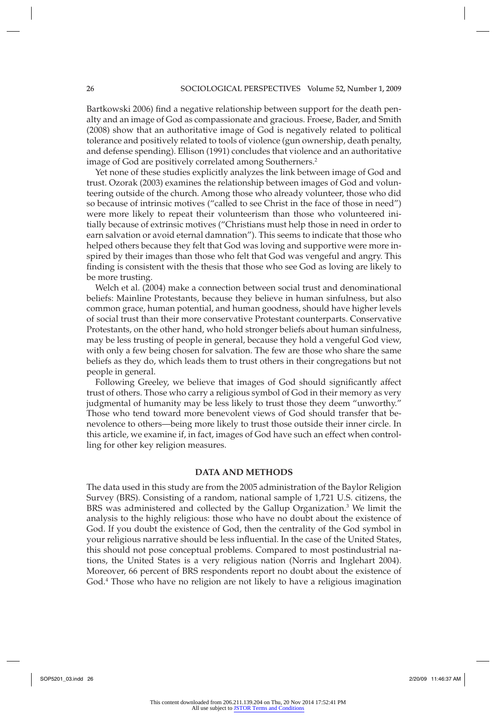Bartkowski 2006) find a negative relationship between support for the death penalty and an image of God as compassionate and gracious. Froese, Bader, and Smith (2008) show that an authoritative image of God is negatively related to political tolerance and positively related to tools of violence (gun ownership, death penalty, and defense spending). Ellison (1991) concludes that violence and an authoritative image of God are positively correlated among Southerners.<sup>2</sup>

Yet none of these studies explicitly analyzes the link between image of God and trust. Ozorak (2003) examines the relationship between images of God and volunteering outside of the church. Among those who already volunteer, those who did so because of intrinsic motives ("called to see Christ in the face of those in need") were more likely to repeat their volunteerism than those who volunteered initially because of extrinsic motives ("Christians must help those in need in order to earn salvation or avoid eternal damnation"). This seems to indicate that those who helped others because they felt that God was loving and supportive were more inspired by their images than those who felt that God was vengeful and angry. This finding is consistent with the thesis that those who see God as loving are likely to be more trusting.

Welch et al. (2004) make a connection between social trust and denominational beliefs: Mainline Protestants, because they believe in human sinfulness, but also common grace, human potential, and human goodness, should have higher levels of social trust than their more conservative Protestant counterparts. Conservative Protestants, on the other hand, who hold stronger beliefs about human sinfulness, may be less trusting of people in general, because they hold a vengeful God view, with only a few being chosen for salvation. The few are those who share the same beliefs as they do, which leads them to trust others in their congregations but not people in general.

Following Greeley, we believe that images of God should significantly affect trust of others. Those who carry a religious symbol of God in their memory as very judgmental of humanity may be less likely to trust those they deem "unworthy." Those who tend toward more benevolent views of God should transfer that benevolence to others—being more likely to trust those outside their inner circle. In this article, we examine if, in fact, images of God have such an effect when controlling for other key religion measures.

#### **DATA AND METHODS**

The data used in this study are from the 2005 administration of the Baylor Religion Survey (BRS). Consisting of a random, national sample of 1,721 U.S. citizens, the BRS was administered and collected by the Gallup Organization.<sup>3</sup> We limit the analysis to the highly religious: those who have no doubt about the existence of God. If you doubt the existence of God, then the centrality of the God symbol in your religious narrative should be less influential. In the case of the United States, this should not pose conceptual problems. Compared to most postindustrial nations, the United States is a very religious nation (Norris and Inglehart 2004). Moreover, 66 percent of BRS respondents report no doubt about the existence of God.<sup>4</sup> Those who have no religion are not likely to have a religious imagination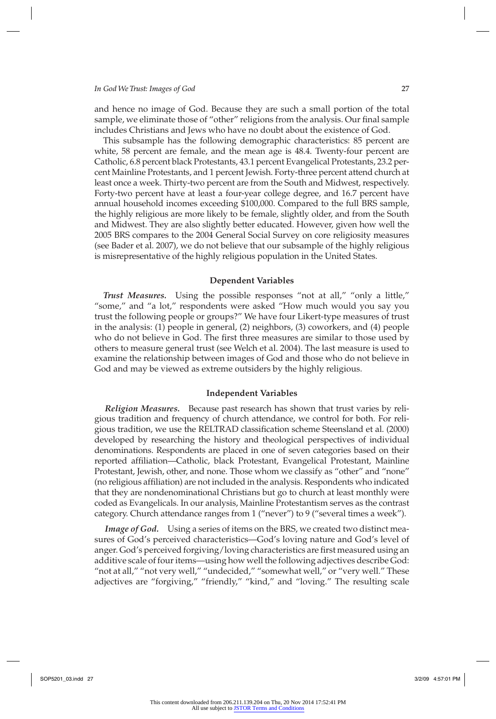and hence no image of God. Because they are such a small portion of the total sample, we eliminate those of "other" religions from the analysis. Our final sample includes Christians and Jews who have no doubt about the existence of God.

This subsample has the following demographic characteristics: 85 percent are white, 58 percent are female, and the mean age is 48.4. Twenty-four percent are Catholic, 6.8 percent black Protestants, 43.1 percent Evangelical Protestants, 23.2 percent Mainline Protestants, and 1 percent Jewish. Forty-three percent attend church at least once a week. Thirty-two percent are from the South and Midwest, respectively. Forty-two percent have at least a four-year college degree, and 16.7 percent have annual household incomes exceeding \$100,000. Compared to the full BRS sample, the highly religious are more likely to be female, slightly older, and from the South and Midwest. They are also slightly better educated. However, given how well the 2005 BRS compares to the 2004 General Social Survey on core religiosity measures (see Bader et al. 2007), we do not believe that our subsample of the highly religious is misrepresentative of the highly religious population in the United States.

#### **Dependent Variables**

*Trust Measures.* Using the possible responses "not at all," "only a little," "some," and "a lot," respondents were asked "How much would you say you trust the following people or groups?" We have four Likert-type measures of trust in the analysis: (1) people in general, (2) neighbors, (3) coworkers, and (4) people who do not believe in God. The first three measures are similar to those used by others to measure general trust (see Welch et al. 2004). The last measure is used to examine the relationship between images of God and those who do not believe in God and may be viewed as extreme outsiders by the highly religious.

#### **Independent Variables**

*Religion Measures.* Because past research has shown that trust varies by religious tradition and frequency of church attendance, we control for both. For religious tradition, we use the RELTRAD classification scheme Steensland et al. (2000) developed by researching the history and theological perspectives of individual denominations. Respondents are placed in one of seven categories based on their reported affiliation—Catholic, black Protestant, Evangelical Protestant, Mainline Protestant, Jewish, other, and none. Those whom we classify as "other" and "none" (no religious affiliation) are not included in the analysis. Respondents who indicated that they are nondenominational Christians but go to church at least monthly were coded as Evangelicals. In our analysis, Mainline Protestantism serves as the contrast category. Church attendance ranges from 1 ("never") to 9 ("several times a week").

*Image of God.* Using a series of items on the BRS, we created two distinct measures of God's perceived characteristics—God's loving nature and God's level of anger. God's perceived forgiving/loving characteristics are first measured using an additive scale of four items—using how well the following adjectives describe God: "not at all," "not very well," "undecided," "somewhat well," or "very well." These adjectives are "forgiving," "friendly," "kind," and "loving." The resulting scale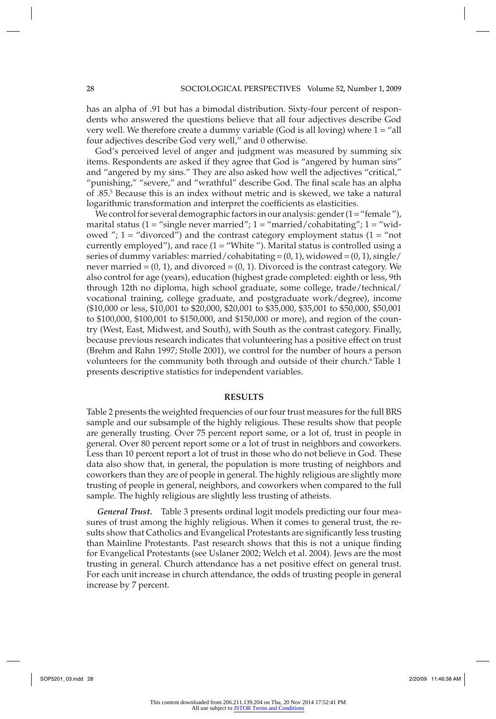has an alpha of .91 but has a bimodal distribution. Sixty-four percent of respondents who answered the questions believe that all four adjectives describe God very well. We therefore create a dummy variable (God is all loving) where  $1 =$  "all four adjectives describe God very well," and 0 otherwise.

God's perceived level of anger and judgment was measured by summing six items. Respondents are asked if they agree that God is "angered by human sins" and "angered by my sins." They are also asked how well the adjectives "critical," "punishing," "severe," and "wrathful" describe God. The final scale has an alpha of .85.5 Because this is an index without metric and is skewed, we take a natural logarithmic transformation and interpret the coefficients as elasticities.

We control for several demographic factors in our analysis: gender  $(1 = "female"),$ marital status (1 = "single never married"; 1 = "married/cohabitating"; 1 = "widowed ";  $1 =$  "divorced") and the contrast category employment status  $(1 =$  "not currently employed"), and race  $(1 = "White")$ . Marital status is controlled using a series of dummy variables: married/cohabitating =  $(0, 1)$ , widowed =  $(0, 1)$ , single/ never married  $=(0, 1)$ , and divorced  $=(0, 1)$ . Divorced is the contrast category. We also control for age (years), education (highest grade completed: eighth or less, 9th through 12th no diploma, high school graduate, some college, trade/technical/ vocational training, college graduate, and postgraduate work/degree), income (\$10,000 or less, \$10,001 to \$20,000, \$20,001 to \$35,000, \$35,001 to \$50,000, \$50,001 to \$100,000, \$100,001 to \$150,000, and \$150,000 or more), and region of the country (West, East, Midwest, and South), with South as the contrast category. Finally, because previous research indicates that volunteering has a positive effect on trust (Brehm and Rahn 1997; Stolle 2001), we control for the number of hours a person volunteers for the community both through and outside of their church.<sup>6</sup> Table 1 presents descriptive statistics for independent variables.

#### **RESULTS**

Table 2 presents the weighted frequencies of our four trust measures for the full BRS sample and our subsample of the highly religious. These results show that people are generally trusting. Over 75 percent report some, or a lot of, trust in people in general. Over 80 percent report some or a lot of trust in neighbors and coworkers. Less than 10 percent report a lot of trust in those who do not believe in God. These data also show that, in general, the population is more trusting of neighbors and coworkers than they are of people in general. The highly religious are slightly more trusting of people in general, neighbors, and coworkers when compared to the full sample. The highly religious are slightly less trusting of atheists.

*General Trust.* Table 3 presents ordinal logit models predicting our four measures of trust among the highly religious. When it comes to general trust, the results show that Catholics and Evangelical Protestants are significantly less trusting than Mainline Protestants. Past research shows that this is not a unique finding for Evangelical Protestants (see Uslaner 2002; Welch et al. 2004). Jews are the most trusting in general. Church attendance has a net positive effect on general trust. For each unit increase in church attendance, the odds of trusting people in general increase by 7 percent.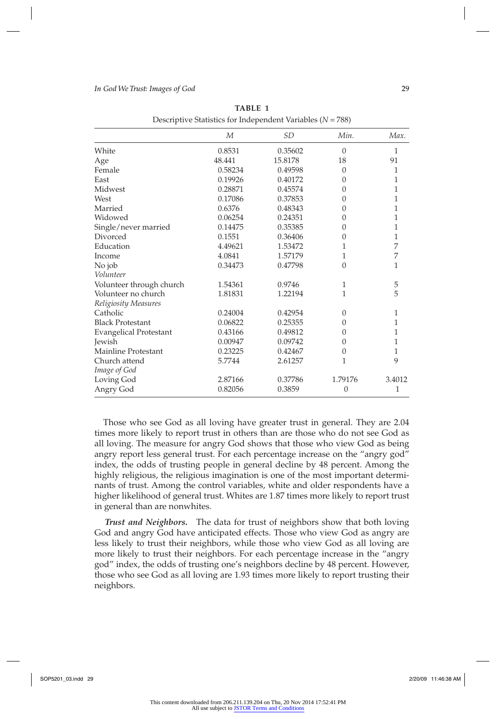| ı.                            |         |         |              |              |
|-------------------------------|---------|---------|--------------|--------------|
|                               | М       | SD      | Min.         | Max.         |
| White                         | 0.8531  | 0.35602 | $\theta$     | 1            |
| Age                           | 48.441  | 15.8178 | 18           | 91           |
| Female                        | 0.58234 | 0.49598 | $\theta$     | 1            |
| East                          | 0.19926 | 0.40172 | $\Omega$     | 1            |
| Midwest                       | 0.28871 | 0.45574 | 0            | 1            |
| West                          | 0.17086 | 0.37853 | 0            | 1            |
| Married                       | 0.6376  | 0.48343 | 0            | 1            |
| Widowed                       | 0.06254 | 0.24351 | 0            | 1            |
| Single/never married          | 0.14475 | 0.35385 | 0            | 1            |
| Divorced                      | 0.1551  | 0.36406 | 0            | 1            |
| Education                     | 4.49621 | 1.53472 | 1            | 7            |
| Income                        | 4.0841  | 1.57179 | $\mathbf{1}$ | 7            |
| No job                        | 0.34473 | 0.47798 | $\Omega$     | $\mathbf{1}$ |
| Volunteer                     |         |         |              |              |
| Volunteer through church      | 1.54361 | 0.9746  | 1            | 5            |
| Volunteer no church           | 1.81831 | 1.22194 | 1            | 5            |
| Religiosity Measures          |         |         |              |              |
| Catholic                      | 0.24004 | 0.42954 | $\Omega$     | 1            |
| <b>Black Protestant</b>       | 0.06822 | 0.25355 | $\Omega$     | 1            |
| <b>Evangelical Protestant</b> | 0.43166 | 0.49812 | 0            | 1            |
| Jewish                        | 0.00947 | 0.09742 | $\Omega$     | 1            |
| Mainline Protestant           | 0.23225 | 0.42467 | 0            | 1            |
| Church attend                 | 5.7744  | 2.61257 | 1            | 9            |
| Image of God                  |         |         |              |              |
| Loving God                    | 2.87166 | 0.37786 | 1.79176      | 3.4012       |
| Angry God                     | 0.82056 | 0.3859  | $\theta$     | 1            |

**TABLE 1** Descriptive Statistics for Independent Variables (*N* = 788)

Those who see God as all loving have greater trust in general. They are 2.04 times more likely to report trust in others than are those who do not see God as all loving. The measure for angry God shows that those who view God as being angry report less general trust. For each percentage increase on the "angry god" index, the odds of trusting people in general decline by 48 percent. Among the highly religious, the religious imagination is one of the most important determinants of trust. Among the control variables, white and older respondents have a higher likelihood of general trust. Whites are 1.87 times more likely to report trust in general than are nonwhites.

*Trust and Neighbors.* The data for trust of neighbors show that both loving God and angry God have anticipated effects. Those who view God as angry are less likely to trust their neighbors, while those who view God as all loving are more likely to trust their neighbors. For each percentage increase in the "angry god" index, the odds of trusting one's neighbors decline by 48 percent. However, those who see God as all loving are 1.93 times more likely to report trusting their neighbors.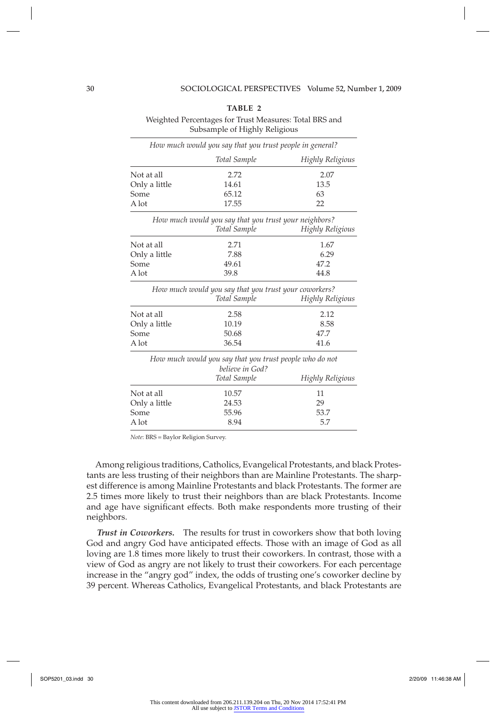|               | Subsample of Highly Religious                            |                         |
|---------------|----------------------------------------------------------|-------------------------|
|               | How much would you say that you trust people in general? |                         |
|               | Total Sample                                             | Highly Religious        |
| Not at all    | 2.72                                                     | 2.07                    |
| Only a little | 14.61                                                    | 13.5                    |
| Some          | 65.12                                                    | 63                      |
| A lot         | 17.55                                                    | 22                      |
|               | How much would you say that you trust your neighbors?    |                         |
|               | <b>Total Sample</b>                                      | Highly Religious        |
| Not at all    | 2.71                                                     | 1.67                    |
| Only a little | 7.88                                                     | 6.29                    |
| Some          | 49.61                                                    | 47.2                    |
| A lot         | 39.8                                                     | 44.8                    |
|               | How much would you say that you trust your coworkers?    |                         |
|               | Total Sample                                             | Highly Religious        |
| Not at all    | 2.58                                                     | 2.12                    |
| Only a little | 10.19                                                    | 8.58                    |
| Some          | 50.68                                                    | 47.7                    |
| A lot         | 36.54                                                    | 41.6                    |
|               | How much would you say that you trust people who do not  |                         |
|               | believe in God?                                          |                         |
|               | Total Sample                                             | <b>Highly Religious</b> |
| Not at all    | 10.57                                                    | 11                      |
| Only a little | 24.53                                                    | 29                      |
| Some          | 55.96                                                    | 53.7                    |
| A lot         | 8.94                                                     | 5.7                     |

#### **TABLE 2**

Weighted Percentages for Trust Measures: Total BRS and Subsample of Highly Religious

*Note*: BRS = Baylor Religion Survey.

Among religious traditions, Catholics, Evangelical Protestants, and black Protestants are less trusting of their neighbors than are Mainline Protestants. The sharpest difference is among Mainline Protestants and black Protestants. The former are 2.5 times more likely to trust their neighbors than are black Protestants. Income and age have significant effects. Both make respondents more trusting of their neighbors.

*Trust in Coworkers.* The results for trust in coworkers show that both loving God and angry God have anticipated effects. Those with an image of God as all loving are 1.8 times more likely to trust their coworkers. In contrast, those with a view of God as angry are not likely to trust their coworkers. For each percentage increase in the "angry god" index, the odds of trusting one's coworker decline by 39 percent. Whereas Catholics, Evangelical Protestants, and black Protestants are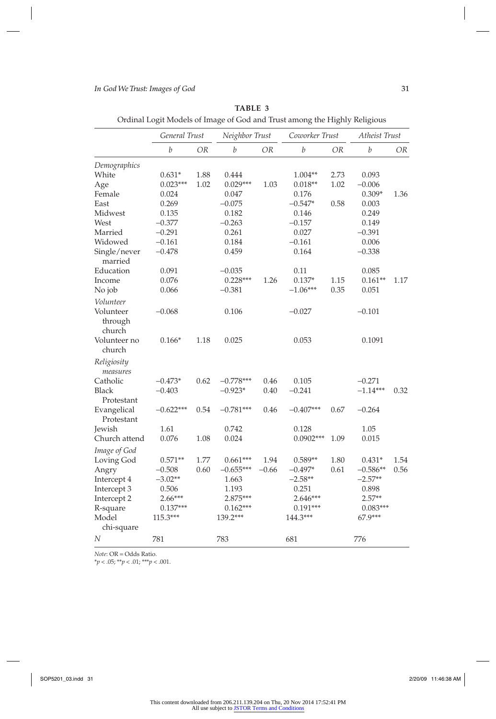|                                | General Trust    |           | Neighbor Trust   |         | Coworker Trust   |      | Atheist Trust    |      |
|--------------------------------|------------------|-----------|------------------|---------|------------------|------|------------------|------|
|                                | $\boldsymbol{b}$ | <b>OR</b> | $\boldsymbol{b}$ | OR      | $\boldsymbol{b}$ | OR   | $\boldsymbol{b}$ | OR   |
| Demographics                   |                  |           |                  |         |                  |      |                  |      |
| White                          | $0.631*$         | 1.88      | 0.444            |         | $1.004**$        | 2.73 | 0.093            |      |
| Age                            | $0.023***$       | 1.02      | $0.029***$       | 1.03    | $0.018**$        | 1.02 | $-0.006$         |      |
| Female                         | 0.024            |           | 0.047            |         | 0.176            |      | $0.309*$         | 1.36 |
| East                           | 0.269            |           | $-0.075$         |         | $-0.547*$        | 0.58 | 0.003            |      |
| Midwest                        | 0.135            |           | 0.182            |         | 0.146            |      | 0.249            |      |
| West                           | $-0.377$         |           | $-0.263$         |         | $-0.157$         |      | 0.149            |      |
| Married                        | $-0.291$         |           | 0.261            |         | 0.027            |      | $-0.391$         |      |
| Widowed                        | $-0.161$         |           | 0.184            |         | $-0.161$         |      | 0.006            |      |
| Single/never<br>married        | $-0.478$         |           | 0.459            |         | 0.164            |      | $-0.338$         |      |
| Education                      | 0.091            |           | $-0.035$         |         | 0.11             |      | 0.085            |      |
| Income                         | 0.076            |           | $0.228***$       | 1.26    | $0.137*$         | 1.15 | $0.161**$        | 1.17 |
| No job                         | 0.066            |           | $-0.381$         |         | $-1.06***$       | 0.35 | 0.051            |      |
| Volunteer                      |                  |           |                  |         |                  |      |                  |      |
| Volunteer<br>through<br>church | $-0.068$         |           | 0.106            |         | $-0.027$         |      | $-0.101$         |      |
| Volunteer no<br>church         | $0.166*$         | 1.18      | 0.025            |         | 0.053            |      | 0.1091           |      |
| Religiosity<br>measures        |                  |           |                  |         |                  |      |                  |      |
| Catholic                       | $-0.473*$        | 0.62      | $-0.778***$      | 0.46    | 0.105            |      | $-0.271$         |      |
| <b>Black</b><br>Protestant     | $-0.403$         |           | $-0.923*$        | 0.40    | $-0.241$         |      | $-1.14***$       | 0.32 |
| Evangelical<br>Protestant      | $-0.622***$      | 0.54      | $-0.781***$      | 0.46    | $-0.407***$      | 0.67 | $-0.264$         |      |
| <b>Jewish</b>                  | 1.61             |           | 0.742            |         | 0.128            |      | 1.05             |      |
| Church attend                  | 0.076            | 1.08      | 0.024            |         | $0.0902***$      | 1.09 | 0.015            |      |
| Image of God                   |                  |           |                  |         |                  |      |                  |      |
| Loving God                     | $0.571**$        | 1.77      | $0.661***$       | 1.94    | $0.589**$        | 1.80 | $0.431*$         | 1.54 |
| Angry                          | $-0.508$         | 0.60      | $-0.655***$      | $-0.66$ | $-0.497*$        | 0.61 | $-0.586**$       | 0.56 |
| Intercept 4                    | $-3.02**$        |           | 1.663            |         | $-2.58**$        |      | $-2.57**$        |      |
| Intercept 3                    | 0.506            |           | 1.193            |         | 0.251            |      | 0.898            |      |
| Intercept 2                    | $2.66***$        |           | 2.875***         |         | 2.646***         |      | $2.57**$         |      |
| R-square                       | $0.137***$       |           | $0.162***$       |         | $0.191***$       |      | $0.083***$       |      |
| Model<br>chi-square            | $115.3***$       |           | 139.2***         |         | 144.3***         |      | 67.9***          |      |
| $\,N$                          | 781              |           | 783              |         | 681              |      | 776              |      |

**TABLE 3** Ordinal Logit Models of Image of God and Trust among the Highly Religious

*Note*: OR = Odds Ratio.

\**p* < .05; \*\**p* < .01; \*\*\**p* < .001.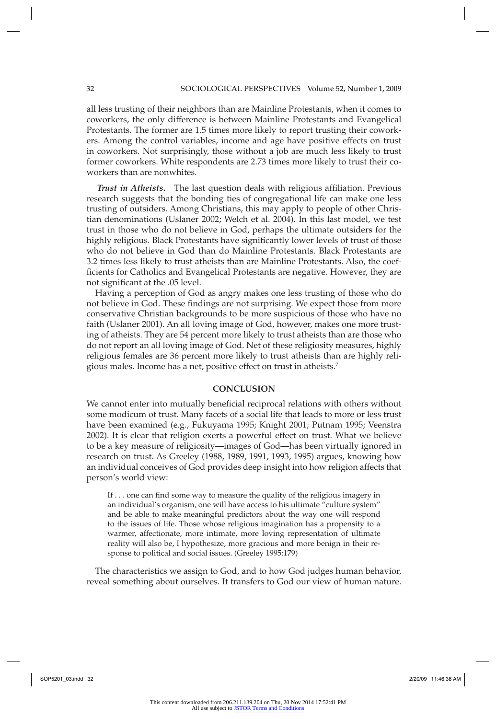all less trusting of their neighbors than are Mainline Protestants, when it comes to coworkers, the only difference is between Mainline Protestants and Evangelical Protestants. The former are 1.5 times more likely to report trusting their coworkers. Among the control variables, income and age have positive effects on trust in coworkers. Not surprisingly, those without a job are much less likely to trust former coworkers. White respondents are 2.73 times more likely to trust their coworkers than are nonwhites.

*Trust in Atheists.* The last question deals with religious affiliation. Previous research suggests that the bonding ties of congregational life can make one less trusting of outsiders. Among Christians, this may apply to people of other Christian denominations (Uslaner 2002; Welch et al. 2004). In this last model, we test trust in those who do not believe in God, perhaps the ultimate outsiders for the highly religious. Black Protestants have significantly lower levels of trust of those who do not believe in God than do Mainline Protestants. Black Protestants are 3.2 times less likely to trust atheists than are Mainline Protestants. Also, the coefficients for Catholics and Evangelical Protestants are negative. However, they are not significant at the .05 level.

Having a perception of God as angry makes one less trusting of those who do not believe in God. These findings are not surprising. We expect those from more conservative Christian backgrounds to be more suspicious of those who have no faith (Uslaner 2001). An all loving image of God, however, makes one more trusting of atheists. They are 54 percent more likely to trust atheists than are those who do not report an all loving image of God. Net of these religiosity measures, highly religious females are 36 percent more likely to trust atheists than are highly religious males. Income has a net, positive effect on trust in atheists.7

#### **CONCLUSION**

We cannot enter into mutually beneficial reciprocal relations with others without some modicum of trust. Many facets of a social life that leads to more or less trust have been examined (e.g., Fukuyama 1995; Knight 2001; Putnam 1995; Veenstra 2002). It is clear that religion exerts a powerful effect on trust. What we believe to be a key measure of religiosity—images of God—has been virtually ignored in research on trust. As Greeley (1988, 1989, 1991, 1993, 1995) argues, knowing how an individual conceives of God provides deep insight into how religion affects that person's world view:

If . . . one can find some way to measure the quality of the religious imagery in an individual's organism, one will have access to his ultimate "culture system" and be able to make meaningful predictors about the way one will respond to the issues of life. Those whose religious imagination has a propensity to a warmer, affectionate, more intimate, more loving representation of ultimate reality will also be, I hypothesize, more gracious and more benign in their response to political and social issues. (Greeley 1995:179)

The characteristics we assign to God, and to how God judges human behavior, reveal something about ourselves. It transfers to God our view of human nature.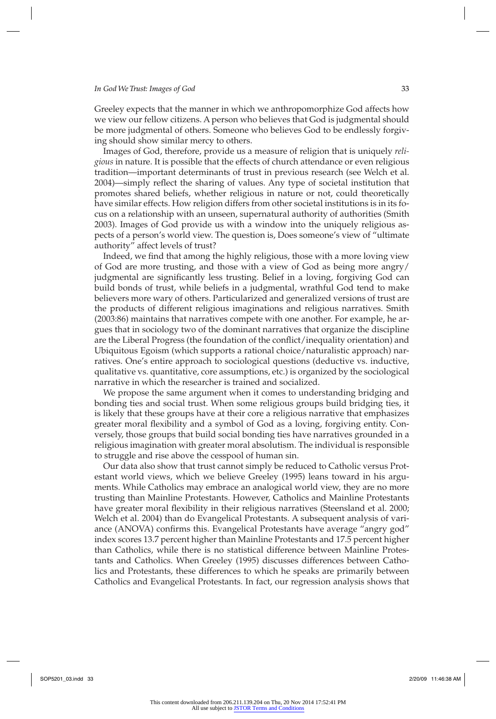Greeley expects that the manner in which we anthropomorphize God affects how we view our fellow citizens. A person who believes that God is judgmental should be more judgmental of others. Someone who believes God to be endlessly forgiving should show similar mercy to others.

Images of God, therefore, provide us a measure of religion that is uniquely *religious* in nature. It is possible that the effects of church attendance or even religious tradition—important determinants of trust in previous research (see Welch et al. 2004)—simply reflect the sharing of values. Any type of societal institution that promotes shared beliefs, whether religious in nature or not, could theoretically have similar effects. How religion differs from other societal institutions is in its focus on a relationship with an unseen, supernatural authority of authorities (Smith 2003). Images of God provide us with a window into the uniquely religious aspects of a person's world view. The question is, Does someone's view of "ultimate authority" affect levels of trust?

Indeed, we find that among the highly religious, those with a more loving view of God are more trusting, and those with a view of God as being more angry/ judgmental are significantly less trusting. Belief in a loving, forgiving God can build bonds of trust, while beliefs in a judgmental, wrathful God tend to make believers more wary of others. Particularized and generalized versions of trust are the products of different religious imaginations and religious narratives. Smith (2003:86) maintains that narratives compete with one another. For example, he argues that in sociology two of the dominant narratives that organize the discipline are the Liberal Progress (the foundation of the conflict/inequality orientation) and Ubiquitous Egoism (which supports a rational choice/naturalistic approach) narratives. One's entire approach to sociological questions (deductive vs. inductive, qualitative vs. quantitative, core assumptions, etc.) is organized by the sociological narrative in which the researcher is trained and socialized.

We propose the same argument when it comes to understanding bridging and bonding ties and social trust. When some religious groups build bridging ties, it is likely that these groups have at their core a religious narrative that emphasizes greater moral flexibility and a symbol of God as a loving, forgiving entity. Conversely, those groups that build social bonding ties have narratives grounded in a religious imagination with greater moral absolutism. The individual is responsible to struggle and rise above the cesspool of human sin.

Our data also show that trust cannot simply be reduced to Catholic versus Protestant world views, which we believe Greeley (1995) leans toward in his arguments. While Catholics may embrace an analogical world view, they are no more trusting than Mainline Protestants. However, Catholics and Mainline Protestants have greater moral flexibility in their religious narratives (Steensland et al. 2000; Welch et al. 2004) than do Evangelical Protestants. A subsequent analysis of variance (ANOVA) confirms this. Evangelical Protestants have average "angry god" index scores 13.7 percent higher than Mainline Protestants and 17.5 percent higher than Catholics, while there is no statistical difference between Mainline Protestants and Catholics. When Greeley (1995) discusses differences between Catholics and Protestants, these differences to which he speaks are primarily between Catholics and Evangelical Protestants. In fact, our regression analysis shows that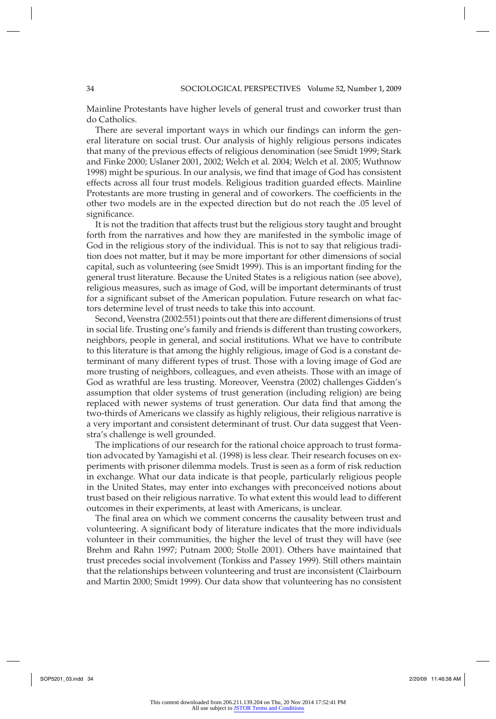Mainline Protestants have higher levels of general trust and coworker trust than do Catholics.

There are several important ways in which our findings can inform the general literature on social trust. Our analysis of highly religious persons indicates that many of the previous effects of religious denomination (see Smidt 1999; Stark and Finke 2000; Uslaner 2001, 2002; Welch et al. 2004; Welch et al. 2005; Wuthnow 1998) might be spurious. In our analysis, we find that image of God has consistent effects across all four trust models. Religious tradition guarded effects. Mainline Protestants are more trusting in general and of coworkers. The coefficients in the other two models are in the expected direction but do not reach the .05 level of significance.

It is not the tradition that affects trust but the religious story taught and brought forth from the narratives and how they are manifested in the symbolic image of God in the religious story of the individual. This is not to say that religious tradition does not matter, but it may be more important for other dimensions of social capital, such as volunteering (see Smidt 1999). This is an important finding for the general trust literature. Because the United States is a religious nation (see above), religious measures, such as image of God, will be important determinants of trust for a significant subset of the American population. Future research on what factors determine level of trust needs to take this into account.

Second, Veenstra (2002:551) points out that there are different dimensions of trust in social life. Trusting one's family and friends is different than trusting coworkers, neighbors, people in general, and social institutions. What we have to contribute to this literature is that among the highly religious, image of God is a constant determinant of many different types of trust. Those with a loving image of God are more trusting of neighbors, colleagues, and even atheists. Those with an image of God as wrathful are less trusting. Moreover, Veenstra (2002) challenges Gidden's assumption that older systems of trust generation (including religion) are being replaced with newer systems of trust generation. Our data find that among the two-thirds of Americans we classify as highly religious, their religious narrative is a very important and consistent determinant of trust. Our data suggest that Veenstra's challenge is well grounded.

The implications of our research for the rational choice approach to trust formation advocated by Yamagishi et al. (1998) is less clear. Their research focuses on experiments with prisoner dilemma models. Trust is seen as a form of risk reduction in exchange. What our data indicate is that people, particularly religious people in the United States, may enter into exchanges with preconceived notions about trust based on their religious narrative. To what extent this would lead to different outcomes in their experiments, at least with Americans, is unclear.

The final area on which we comment concerns the causality between trust and volunteering. A significant body of literature indicates that the more individuals volunteer in their communities, the higher the level of trust they will have (see Brehm and Rahn 1997; Putnam 2000; Stolle 2001). Others have maintained that trust precedes social involvement (Tonkiss and Passey 1999). Still others maintain that the relationships between volunteering and trust are inconsistent (Clairbourn and Martin 2000; Smidt 1999). Our data show that volunteering has no consistent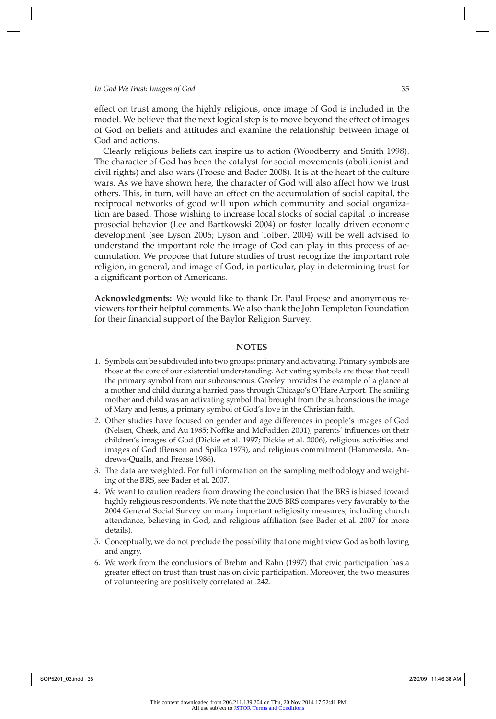effect on trust among the highly religious, once image of God is included in the model. We believe that the next logical step is to move beyond the effect of images of God on beliefs and attitudes and examine the relationship between image of God and actions.

Clearly religious beliefs can inspire us to action (Woodberry and Smith 1998). The character of God has been the catalyst for social movements (abolitionist and civil rights) and also wars (Froese and Bader 2008). It is at the heart of the culture wars. As we have shown here, the character of God will also affect how we trust others. This, in turn, will have an effect on the accumulation of social capital, the reciprocal networks of good will upon which community and social organization are based. Those wishing to increase local stocks of social capital to increase prosocial behavior (Lee and Bartkowski 2004) or foster locally driven economic development (see Lyson 2006; Lyson and Tolbert 2004) will be well advised to understand the important role the image of God can play in this process of accumulation. We propose that future studies of trust recognize the important role religion, in general, and image of God, in particular, play in determining trust for a significant portion of Americans.

**Acknowledgments:** We would like to thank Dr. Paul Froese and anonymous reviewers for their helpful comments. We also thank the John Templeton Foundation for their financial support of the Baylor Religion Survey.

#### **NOTES**

- 1. Symbols can be subdivided into two groups: primary and activating. Primary symbols are those at the core of our existential understanding. Activating symbols are those that recall the primary symbol from our subconscious. Greeley provides the example of a glance at a mother and child during a harried pass through Chicago's O'Hare Airport. The smiling mother and child was an activating symbol that brought from the subconscious the image of Mary and Jesus, a primary symbol of God's love in the Christian faith.
- 2. Other studies have focused on gender and age differences in people's images of God (Nelsen, Cheek, and Au 1985; Noffke and McFadden 2001), parents' influences on their children's images of God (Dickie et al. 1997; Dickie et al. 2006), religious activities and images of God (Benson and Spilka 1973), and religious commitment (Hammersla, Andrews-Qualls, and Frease 1986).
- 3. The data are weighted. For full information on the sampling methodology and weighting of the BRS, see Bader et al. 2007.
- 4. We want to caution readers from drawing the conclusion that the BRS is biased toward highly religious respondents. We note that the 2005 BRS compares very favorably to the 2004 General Social Survey on many important religiosity measures, including church attendance, believing in God, and religious affiliation (see Bader et al. 2007 for more details).
- 5. Conceptually, we do not preclude the possibility that one might view God as both loving and angry.
- 6. We work from the conclusions of Brehm and Rahn (1997) that civic participation has a greater effect on trust than trust has on civic participation. Moreover, the two measures of volunteering are positively correlated at .242.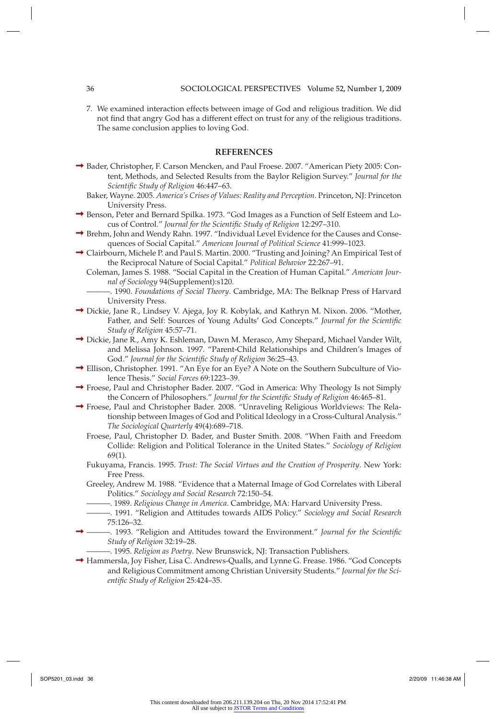7. We examined interaction effects between image of God and religious tradition. We did not find that angry God has a different effect on trust for any of the religious traditions. The same conclusion applies to loving God.

#### **REFERENCES**

- $\rightarrow$  Bader, Christopher, F. Carson Mencken, and Paul Froese. 2007. "American Piety 2005: Content, Methods, and Selected Results from the Baylor Religion Survey." *Journal for the Scientific Study of Religion* 46:447–63.
	- Baker, Wayne. 2005. *America's Crises of Values: Reality and Perception*. Princeton, NJ: Princeton University Press.
- → Benson, Peter and Bernard Spilka. 1973. "God Images as a Function of Self Esteem and Locus of Control." *Journal for the Scientific Study of Religion* 12:297–310.
- Brehm, John and Wendy Rahn. 1997. "Individual Level Evidence for the Causes and Consequences of Social Capital." *American Journal of Political Science* 41:999–1023.
- Clairbourn, Michele P. and Paul S. Martin. 2000. "Trusting and Joining? An Empirical Test of the Reciprocal Nature of Social Capital." *Political Behavior* 22:267–91.
	- Coleman, James S. 1988. "Social Capital in the Creation of Human Capital." *American Journal of Sociology* 94(Supplement):s120.
		- ———. 1990. *Foundations of Social Theory*. Cambridge, MA: The Belknap Press of Harvard University Press.
- → Dickie, Jane R., Lindsey V. Ajega, Joy R. Kobylak, and Kathryn M. Nixon. 2006. "Mother, Father, and Self: Sources of Young Adults' God Concepts." *Journal for the Scientific Study of Religion* 45:57–71.
- → Dickie, Jane R., Amy K. Eshleman, Dawn M. Merasco, Amy Shepard, Michael Vander Wilt, and Melissa Johnson. 1997. "Parent-Child Relationships and Children's Images of God." *Journal for the Scientific Study of Religion* 36:25–43.
- Ellison, Christopher. 1991. "An Eye for an Eye? A Note on the Southern Subculture of Violence Thesis." *Social Forces* 69:1223–39.
- Froese, Paul and Christopher Bader. 2007. "God in America: Why Theology Is not Simply the Concern of Philosophers." *Journal for the Scientific Study of Religion* 46:465–81.
- Froese, Paul and Christopher Bader. 2008. "Unraveling Religious Worldviews: The Relationship between Images of God and Political Ideology in a Cross-Cultural Analysis." *The Sociological Quarterly* 49(4):689–718.
	- Froese, Paul, Christopher D. Bader, and Buster Smith. 2008. "When Faith and Freedom Collide: Religion and Political Tolerance in the United States." *Sociology of Religion* 69(1).
	- Fukuyama, Francis. 1995. *Trust: The Social Virtues and the Creation of Prosperity*. New York: Free Press.
	- Greeley, Andrew M. 1988. "Evidence that a Maternal Image of God Correlates with Liberal Politics." *Sociology and Social Research* 72:150–54.
		- ———. 1989. *Religious Change in America*. Cambridge, MA: Harvard University Press.
		- ———. 1991. "Religion and Attitudes towards AIDS Policy." *Sociology and Social Research* 75:126–32.
- ———. 1993. "Religion and Attitudes toward the Environment." *Journal for the Scientific Study of Religion* 32:19–28.
	- ———. 1995. *Religion as Poetry*. New Brunswick, NJ: Transaction Publishers.
- $\rightarrow$  Hammersla, Joy Fisher, Lisa C. Andrews-Oualls, and Lynne G. Frease. 1986. "God Concepts" and Religious Commitment among Christian University Students." *Journal for the Scientific Study of Religion* 25:424–35.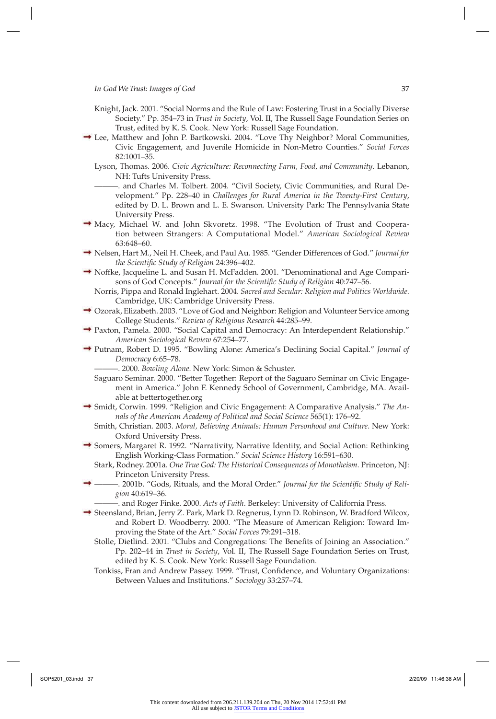- Knight, Jack. 2001. "Social Norms and the Rule of Law: Fostering Trust in a Socially Diverse Society." Pp. 354–73 in *Trust in Society*, Vol. II, The Russell Sage Foundation Series on Trust, edited by K. S. Cook. New York: Russell Sage Foundation.
- $\rightarrow$  Lee, Matthew and John P. Bartkowski. 2004. "Love Thy Neighbor? Moral Communities, Civic Engagement, and Juvenile Homicide in Non-Metro Counties." *Social Forces* 82:1001–35.
	- Lyson, Thomas. 2006. *Civic Agriculture: Reconnecting Farm, Food, and Community*. Lebanon, NH: Tufts University Press.
		- ———. and Charles M. Tolbert. 2004. "Civil Society, Civic Communities, and Rural Development." Pp. 228–40 in *Challenges for Rural America in the Twenty-First Century*, edited by D. L. Brown and L. E. Swanson. University Park: The Pennsylvania State University Press.
- $\rightarrow$  Macy, Michael W. and John Skvoretz. 1998. "The Evolution of Trust and Cooperation between Strangers: A Computational Model." *American Sociological Review* 63:648–60.
- Nelsen, Hart M., Neil H. Cheek, and Paul Au. 1985. "Gender Differences of God." *Journal for the Scientific Study of Religion* 24:396–402.
- $\rightarrow$  Noffke, Jacqueline L. and Susan H. McFadden. 2001. "Denominational and Age Comparisons of God Concepts." *Journal for the Scientific Study of Religion* 40:747–56.
	- Norris, Pippa and Ronald Inglehart. 2004. *Sacred and Secular: Religion and Politics Worldwide*. Cambridge, UK: Cambridge University Press.
- $\rightarrow$  Ozorak, Elizabeth. 2003. "Love of God and Neighbor: Religion and Volunteer Service among College Students." *Review of Religious Research* 44:285–99.
- Paxton, Pamela. 2000. "Social Capital and Democracy: An Interdependent Relationship." *American Sociological Review* 67:254–77.
- Putnam, Robert D. 1995. "Bowling Alone: America's Declining Social Capital." *Journal of Democracy* 6:65–78.
	- ———. 2000. *Bowling Alone*. New York: Simon & Schuster.
	- Saguaro Seminar. 2000. "Better Together: Report of the Saguaro Seminar on Civic Engagement in America." John F. Kennedy School of Government, Cambridge, MA. Available at bettertogether.org
- **→** Smidt, Corwin. 1999. "Religion and Civic Engagement: A Comparative Analysis." The An*nals of the American Academy of Political and Social Science* 565(1): 176–92.
	- Smith, Christian. 2003. *Moral, Believing Animals: Human Personhood and Culture*. New York: Oxford University Press.
- $\rightarrow$  Somers, Margaret R. 1992. "Narrativity, Narrative Identity, and Social Action: Rethinking English Working-Class Formation." *Social Science History* 16:591–630.
	- Stark, Rodney. 2001a. *One True God: The Historical Consequences of Monotheism*. Princeton, NJ: Princeton University Press.
	- ———. 2001b. "Gods, Rituals, and the Moral Order." *Journal for the Scientific Study of Religion* 40:619–36.
		- ———. and Roger Finke. 2000. *Acts of Faith*. Berkeley: University of California Press.
- Steensland, Brian, Jerry Z. Park, Mark D. Regnerus, Lynn D. Robinson, W. Bradford Wilcox, and Robert D. Woodberry. 2000. "The Measure of American Religion: Toward Improving the State of the Art." *Social Forces* 79:291–318.
	- Stolle, Dietlind. 2001. "Clubs and Congregations: The Benefits of Joining an Association." Pp. 202–44 in *Trust in Society*, Vol. II, The Russell Sage Foundation Series on Trust, edited by K. S. Cook. New York: Russell Sage Foundation.
	- Tonkiss, Fran and Andrew Passey. 1999. "Trust, Confidence, and Voluntary Organizations: Between Values and Institutions." *Sociology* 33:257–74.